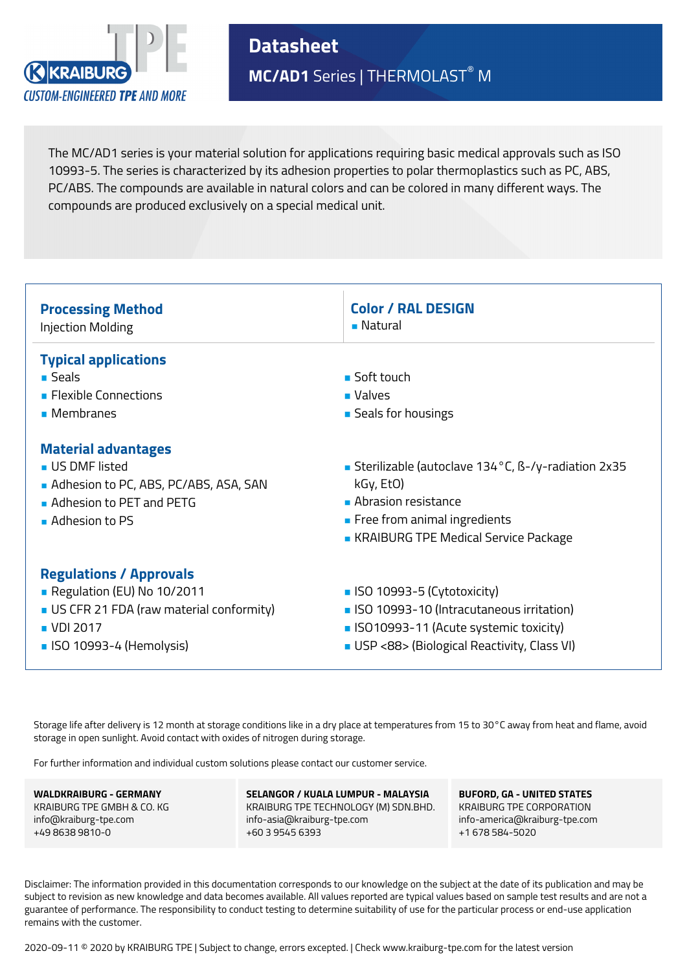

**Datasheet MC/AD1** Series | THERMOLAST® M

The MC/AD1 series is your material solution for applications requiring basic medical approvals such as ISO 10993-5. The series is characterized by its adhesion properties to polar thermoplastics such as PC, ABS, PC/ABS. The compounds are available in natural colors and can be colored in many different ways. The compounds are produced exclusively on a special medical unit.

| <b>Processing Method</b>                                                                                                                           | <b>Color / RAL DESIGN</b>                                                                                                                                                     |
|----------------------------------------------------------------------------------------------------------------------------------------------------|-------------------------------------------------------------------------------------------------------------------------------------------------------------------------------|
| <b>Injection Molding</b>                                                                                                                           | ■ Natural                                                                                                                                                                     |
| <b>Typical applications</b><br>$\blacksquare$ Seals<br>• Flexible Connections<br>• Membranes                                                       | ■ Soft touch<br>$\blacksquare$ Valves<br>■ Seals for housings                                                                                                                 |
| <b>Material advantages</b>                                                                                                                         | Sterilizable (autoclave 134°C, B-/y-radiation 2x35                                                                                                                            |
| <b>US DMF listed</b>                                                                                                                               | kGy, EtO)                                                                                                                                                                     |
| Adhesion to PC, ABS, PC/ABS, ASA, SAN                                                                                                              | Abrasion resistance                                                                                                                                                           |
| Adhesion to PET and PETG                                                                                                                           | Free from animal ingredients                                                                                                                                                  |
| $\blacksquare$ Adhesion to PS                                                                                                                      | • KRAIBURG TPE Medical Service Package                                                                                                                                        |
| <b>Regulations / Approvals</b><br>Regulation (EU) No 10/2011<br>US CFR 21 FDA (raw material conformity)<br>■ VDI 2017<br>■ ISO 10993-4 (Hemolysis) | $\blacksquare$ ISO 10993-5 (Cytotoxicity)<br>• ISO 10993-10 (Intracutaneous irritation)<br>SO10993-11 (Acute systemic toxicity)<br>USP <88> (Biological Reactivity, Class VI) |

Storage life after delivery is 12 month at storage conditions like in a dry place at temperatures from 15 to 30°C away from heat and flame, avoid storage in open sunlight. Avoid contact with oxides of nitrogen during storage.

For further information and individual custom solutions please contact our customer service.

**WALDKRAIBURG - GERMANY** KRAIBURG TPE GMBH & CO. KG info@kraiburg-tpe.com +49 8638 9810-0

**SELANGOR / KUALA LUMPUR - MALAYSIA** KRAIBURG TPE TECHNOLOGY (M) SDN.BHD. info-asia@kraiburg-tpe.com +60 3 9545 6393

**BUFORD, GA - UNITED STATES** KRAIBURG TPE CORPORATION info-america@kraiburg-tpe.com +1 678 584-5020

Disclaimer: The information provided in this documentation corresponds to our knowledge on the subject at the date of its publication and may be subject to revision as new knowledge and data becomes available. All values reported are typical values based on sample test results and are not a guarantee of performance. The responsibility to conduct testing to determine suitability of use for the particular process or end-use application remains with the customer.

2020-09-11 © 2020 by KRAIBURG TPE | Subject to change, errors excepted. | Check www.kraiburg-tpe.com for the latest version